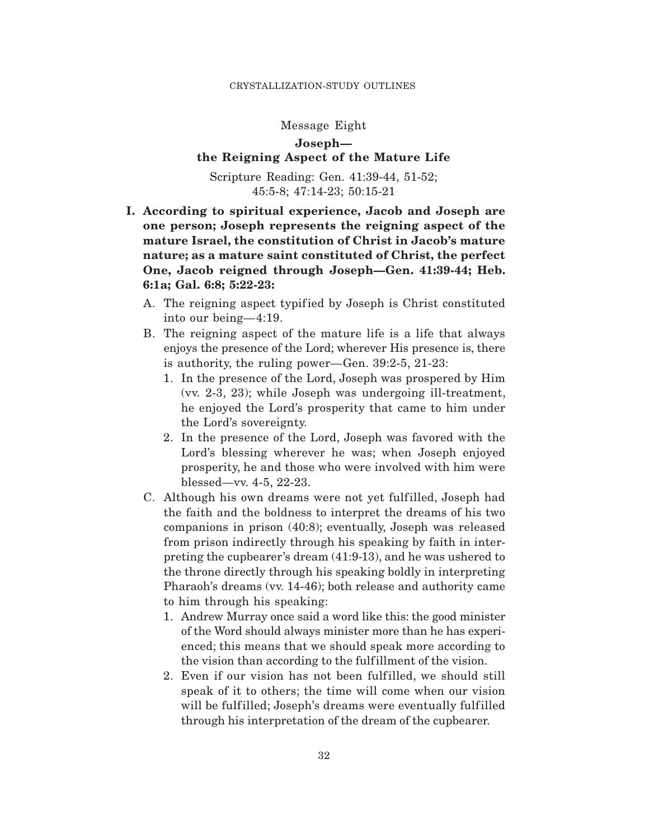#### CRYSTALLIZATION-STUDY OUTLINES

## Message Eight

# **Joseph the Reigning Aspect of the Mature Life**

Scripture Reading: Gen. 41:39-44, 51-52; 45:5-8; 47:14-23; 50:15-21

- **I. According to spiritual experience, Jacob and Joseph are one person; Joseph represents the reigning aspect of the mature Israel, the constitution of Christ in Jacob's mature nature; as a mature saint constituted of Christ, the perfect One, Jacob reigned through Joseph—Gen. 41:39-44; Heb. 6:1a; Gal. 6:8; 5:22-23:**
	- A. The reigning aspect typified by Joseph is Christ constituted into our being—4:19.
	- B. The reigning aspect of the mature life is a life that always enjoys the presence of the Lord; wherever His presence is, there is authority, the ruling power—Gen. 39:2-5, 21-23:
		- 1. In the presence of the Lord, Joseph was prospered by Him (vv. 2-3, 23); while Joseph was undergoing ill-treatment, he enjoyed the Lord's prosperity that came to him under the Lord's sovereignty.
		- 2. In the presence of the Lord, Joseph was favored with the Lord's blessing wherever he was; when Joseph enjoyed prosperity, he and those who were involved with him were blessed—vv. 4-5, 22-23.
	- C. Although his own dreams were not yet fulfilled, Joseph had the faith and the boldness to interpret the dreams of his two companions in prison (40:8); eventually, Joseph was released from prison indirectly through his speaking by faith in interpreting the cupbearer's dream (41:9-13), and he was ushered to the throne directly through his speaking boldly in interpreting Pharaoh's dreams (vv. 14-46); both release and authority came to him through his speaking:
		- 1. Andrew Murray once said a word like this: the good minister of the Word should always minister more than he has experienced; this means that we should speak more according to the vision than according to the fulfillment of the vision.
		- 2. Even if our vision has not been fulfilled, we should still speak of it to others; the time will come when our vision will be fulfilled; Joseph's dreams were eventually fulfilled through his interpretation of the dream of the cupbearer.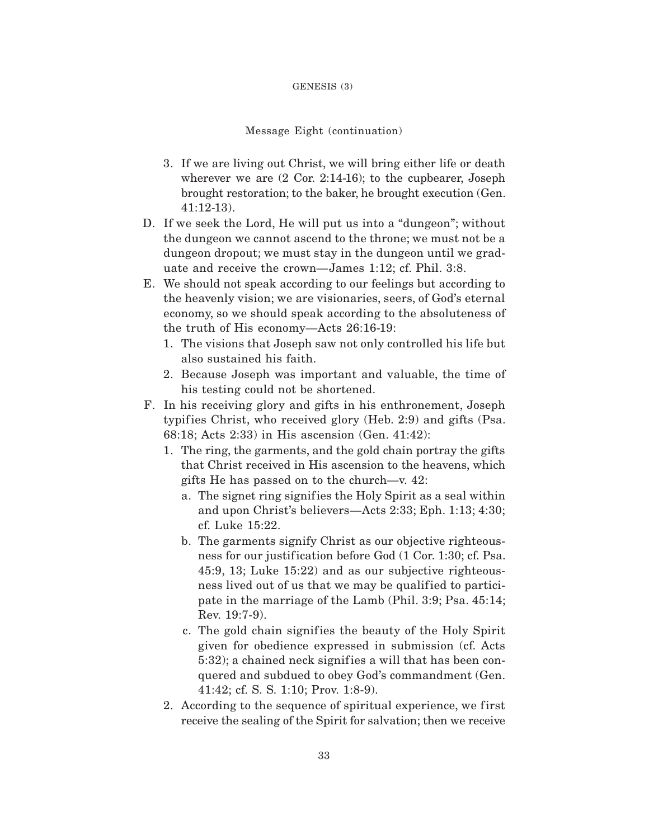### GENESIS (3)

## Message Eight (continuation)

- 3. If we are living out Christ, we will bring either life or death wherever we are (2 Cor. 2:14-16); to the cupbearer, Joseph brought restoration; to the baker, he brought execution (Gen. 41:12-13).
- D. If we seek the Lord, He will put us into a "dungeon"; without the dungeon we cannot ascend to the throne; we must not be a dungeon dropout; we must stay in the dungeon until we graduate and receive the crown—James 1:12; cf. Phil. 3:8.
- E. We should not speak according to our feelings but according to the heavenly vision; we are visionaries, seers, of God's eternal economy, so we should speak according to the absoluteness of the truth of His economy—Acts 26:16-19:
	- 1. The visions that Joseph saw not only controlled his life but also sustained his faith.
	- 2. Because Joseph was important and valuable, the time of his testing could not be shortened.
- F. In his receiving glory and gifts in his enthronement, Joseph typifies Christ, who received glory (Heb. 2:9) and gifts (Psa. 68:18; Acts 2:33) in His ascension (Gen. 41:42):
	- 1. The ring, the garments, and the gold chain portray the gifts that Christ received in His ascension to the heavens, which gifts He has passed on to the church—v. 42:
		- a. The signet ring signifies the Holy Spirit as a seal within and upon Christ's believers—Acts 2:33; Eph. 1:13; 4:30; cf. Luke 15:22.
		- b. The garments signify Christ as our objective righteousness for our justification before God  $(1 \text{ Cor. } 1:30; \text{ cf. } P_{\text{sa}})$ . 45:9, 13; Luke 15:22) and as our subjective righteousness lived out of us that we may be qualified to participate in the marriage of the Lamb (Phil. 3:9; Psa. 45:14; Rev. 19:7-9).
		- c. The gold chain signifies the beauty of the Holy Spirit given for obedience expressed in submission (cf. Acts 5:32); a chained neck signif ies a will that has been conquered and subdued to obey God's commandment (Gen. 41:42; cf. S. S. 1:10; Prov. 1:8-9).
	- 2. According to the sequence of spiritual experience, we first receive the sealing of the Spirit for salvation; then we receive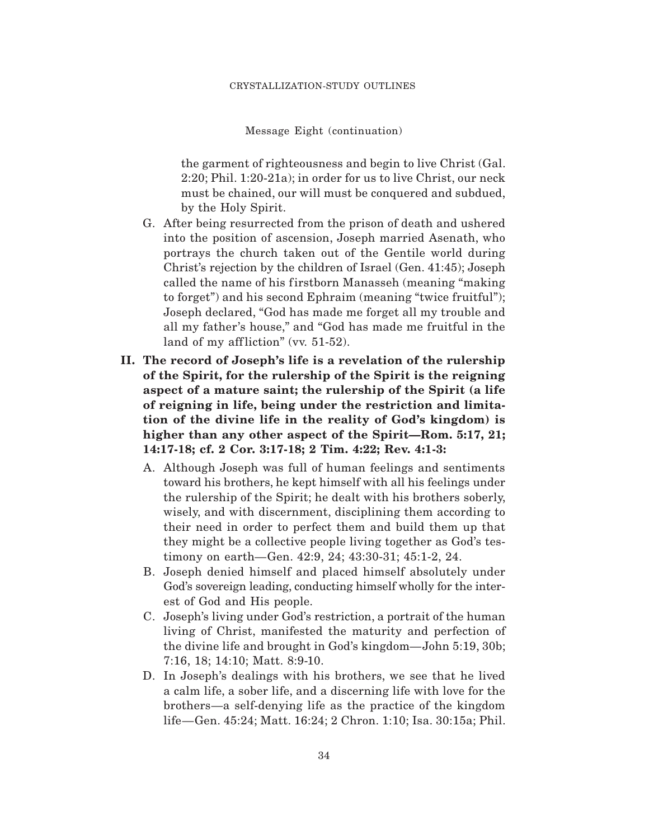Message Eight (continuation)

the garment of righteousness and begin to live Christ (Gal. 2:20; Phil. 1:20-21a); in order for us to live Christ, our neck must be chained, our will must be conquered and subdued, by the Holy Spirit.

- G. After being resurrected from the prison of death and ushered into the position of ascension, Joseph married Asenath, who portrays the church taken out of the Gentile world during Christ's rejection by the children of Israel (Gen. 41:45); Joseph called the name of his firstborn Manasseh (meaning "making" to forget") and his second Ephraim (meaning "twice fruitful"); Joseph declared, "God has made me forget all my trouble and all my father's house," and "God has made me fruitful in the land of my affliction" (vv.  $51-52$ ).
- **II. The record of Joseph's life is a revelation of the rulership of the Spirit, for the rulership of the Spirit is the reigning aspect of a mature saint; the rulership of the Spirit (a life of reigning in life, being under the restriction and limitation of the divine life in the reality of God's kingdom) is higher than any other aspect of the Spirit—Rom. 5:17, 21; 14:17-18; cf. 2 Cor. 3:17-18; 2 Tim. 4:22; Rev. 4:1-3:**
	- A. Although Joseph was full of human feelings and sentiments toward his brothers, he kept himself with all his feelings under the rulership of the Spirit; he dealt with his brothers soberly, wisely, and with discernment, disciplining them according to their need in order to perfect them and build them up that they might be a collective people living together as God's testimony on earth—Gen. 42:9, 24; 43:30-31; 45:1-2, 24.
	- B. Joseph denied himself and placed himself absolutely under God's sovereign leading, conducting himself wholly for the interest of God and His people.
	- C. Joseph's living under God's restriction, a portrait of the human living of Christ, manifested the maturity and perfection of the divine life and brought in God's kingdom—John 5:19, 30b; 7:16, 18; 14:10; Matt. 8:9-10.
	- D. In Joseph's dealings with his brothers, we see that he lived a calm life, a sober life, and a discerning life with love for the brothers—a self-denying life as the practice of the kingdom life—Gen. 45:24; Matt. 16:24; 2 Chron. 1:10; Isa. 30:15a; Phil.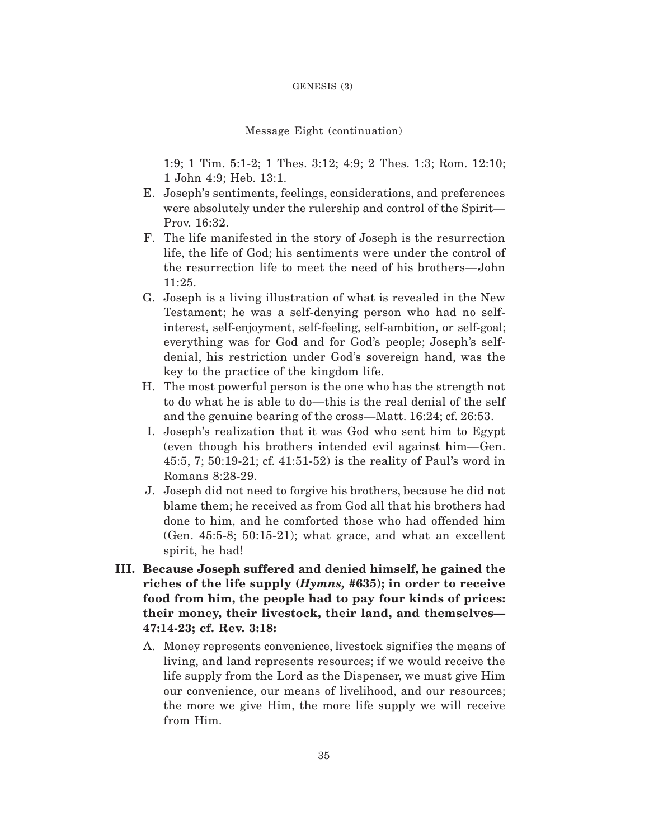### GENESIS (3)

## Message Eight (continuation)

1:9; 1 Tim. 5:1-2; 1 Thes. 3:12; 4:9; 2 Thes. 1:3; Rom. 12:10; 1 John 4:9; Heb. 13:1.

- E. Joseph's sentiments, feelings, considerations, and preferences were absolutely under the rulership and control of the Spirit— Prov. 16:32.
- F. The life manifested in the story of Joseph is the resurrection life, the life of God; his sentiments were under the control of the resurrection life to meet the need of his brothers—John 11:25.
- G. Joseph is a living illustration of what is revealed in the New Testament; he was a self-denying person who had no selfinterest, self-enjoyment, self-feeling, self-ambition, or self-goal; everything was for God and for God's people; Joseph's selfdenial, his restriction under God's sovereign hand, was the key to the practice of the kingdom life.
- H. The most powerful person is the one who has the strength not to do what he is able to do—this is the real denial of the self and the genuine bearing of the cross—Matt. 16:24; cf. 26:53.
- I. Joseph's realization that it was God who sent him to Egypt (even though his brothers intended evil against him—Gen. 45:5, 7; 50:19-21; cf. 41:51-52) is the reality of Paul's word in Romans 8:28-29.
- J. Joseph did not need to forgive his brothers, because he did not blame them; he received as from God all that his brothers had done to him, and he comforted those who had offended him (Gen. 45:5-8; 50:15-21); what grace, and what an excellent spirit, he had!
- **III. Because Joseph suffered and denied himself, he gained the riches of the life supply (***Hymns,* **#635); in order to receive food from him, the people had to pay four kinds of prices: their money, their livestock, their land, and themselves— 47:14-23; cf. Rev. 3:18:**
	- A. Money represents convenience, livestock signifies the means of living, and land represents resources; if we would receive the life supply from the Lord as the Dispenser, we must give Him our convenience, our means of livelihood, and our resources; the more we give Him, the more life supply we will receive from Him.